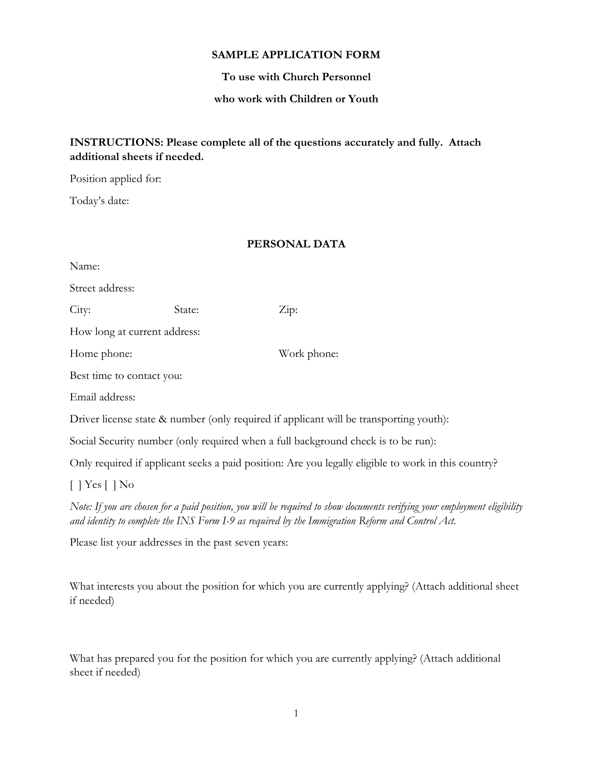#### **SAMPLE APPLICATION FORM**

#### **To use with Church Personnel**

#### **who work with Children or Youth**

## **INSTRUCTIONS: Please complete all of the questions accurately and fully. Attach additional sheets if needed.**

Position applied for:

Today's date:

#### **PERSONAL DATA**

| Name:                                                                                                                                                                                                                         |        |             |  |  |
|-------------------------------------------------------------------------------------------------------------------------------------------------------------------------------------------------------------------------------|--------|-------------|--|--|
| Street address:                                                                                                                                                                                                               |        |             |  |  |
| City:                                                                                                                                                                                                                         | State: | Zip:        |  |  |
| How long at current address:                                                                                                                                                                                                  |        |             |  |  |
| Home phone:                                                                                                                                                                                                                   |        | Work phone: |  |  |
| Best time to contact you:                                                                                                                                                                                                     |        |             |  |  |
| Email address:                                                                                                                                                                                                                |        |             |  |  |
| Driver license state & number (only required if applicant will be transporting youth):                                                                                                                                        |        |             |  |  |
| Social Security number (only required when a full background check is to be run):                                                                                                                                             |        |             |  |  |
| Only required if applicant seeks a paid position: Are you legally eligible to work in this country?                                                                                                                           |        |             |  |  |
| $[$   Yes $[$   No                                                                                                                                                                                                            |        |             |  |  |
| Note: If you are chosen for a paid position, you will be required to show documents verifying your employment eligibility<br>and identity to complete the INS Form I-9 as required by the Immigration Reform and Control Act. |        |             |  |  |
| Please list your addresses in the past seven years:                                                                                                                                                                           |        |             |  |  |

What interests you about the position for which you are currently applying? (Attach additional sheet if needed)

What has prepared you for the position for which you are currently applying? (Attach additional sheet if needed)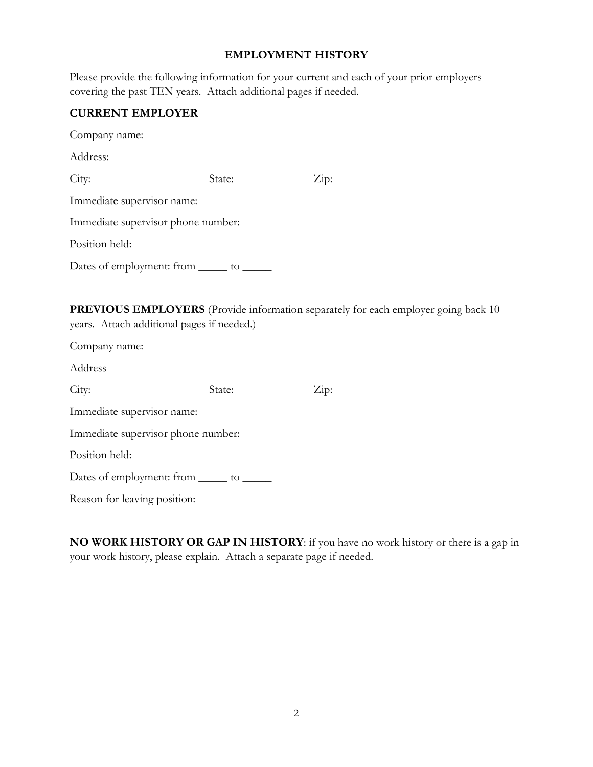#### **EMPLOYMENT HISTORY**

| Please provide the following information for your current and each of your prior employers |  |  |  |  |
|--------------------------------------------------------------------------------------------|--|--|--|--|
| covering the past TEN years. Attach additional pages if needed.                            |  |  |  |  |

#### **CURRENT EMPLOYER**

Company name: Address:

City: State: Zip: Immediate supervisor name: Immediate supervisor phone number:

Position held:

Dates of employment: from \_\_\_\_\_\_ to \_\_\_\_\_\_

|                                            | PREVIOUS EMPLOYERS (Provide information separately for each employer going back 10 |
|--------------------------------------------|------------------------------------------------------------------------------------|
| years. Attach additional pages if needed.) |                                                                                    |

Company name:

Address

| City:                                        | State: | $\angle$ ip: |
|----------------------------------------------|--------|--------------|
| Immediate supervisor name:                   |        |              |
| Immediate supervisor phone number:           |        |              |
| Position held:                               |        |              |
| Dates of employment: from _______ to _______ |        |              |
| Reason for leaving position:                 |        |              |

**NO WORK HISTORY OR GAP IN HISTORY**: if you have no work history or there is a gap in your work history, please explain. Attach a separate page if needed.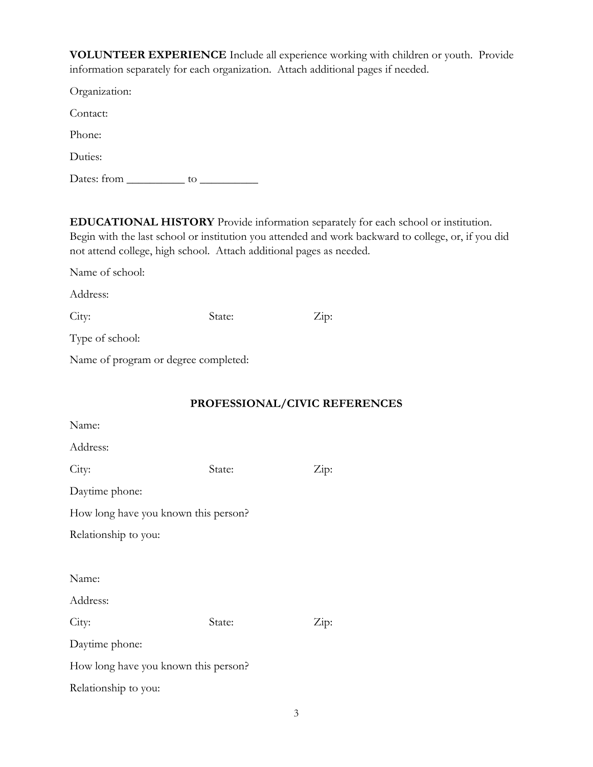**VOLUNTEER EXPERIENCE** Include all experience working with children or youth. Provide information separately for each organization. Attach additional pages if needed.

Organization:

Contact:

Phone:

Duties:

Dates: from \_\_\_\_\_\_\_\_\_\_ to \_\_\_\_\_\_\_\_\_\_

**EDUCATIONAL HISTORY** Provide information separately for each school or institution. Begin with the last school or institution you attended and work backward to college, or, if you did not attend college, high school. Attach additional pages as needed.

Name of school:

Address:

City: State: State: Zip:

Type of school:

Name of program or degree completed:

## **PROFESSIONAL/CIVIC REFERENCES**

| Name:                                |        |      |  |
|--------------------------------------|--------|------|--|
| Address:                             |        |      |  |
| City:                                | State: | Zip: |  |
| Daytime phone:                       |        |      |  |
| How long have you known this person? |        |      |  |
| Relationship to you:                 |        |      |  |
|                                      |        |      |  |
| Name:                                |        |      |  |
| Address:                             |        |      |  |
| City:                                | State: | Zip: |  |
| Daytime phone:                       |        |      |  |
| How long have you known this person? |        |      |  |
| Relationship to you:                 |        |      |  |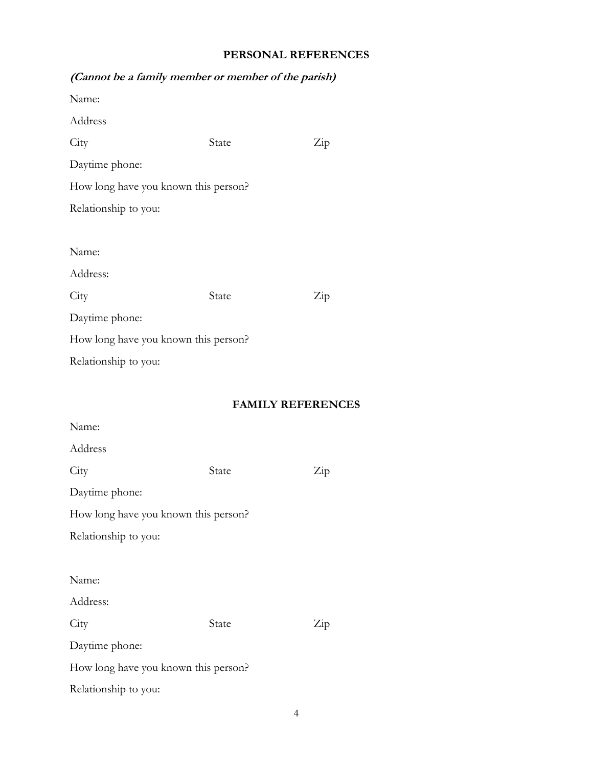### **PERSONAL REFERENCES**

| (0.0000)                             |       |                          |
|--------------------------------------|-------|--------------------------|
| Name:                                |       |                          |
| Address                              |       |                          |
| City                                 | State | Zip                      |
| Daytime phone:                       |       |                          |
| How long have you known this person? |       |                          |
| Relationship to you:                 |       |                          |
|                                      |       |                          |
| Name:                                |       |                          |
| Address:                             |       |                          |
| City                                 | State | Zip                      |
| Daytime phone:                       |       |                          |
| How long have you known this person? |       |                          |
| Relationship to you:                 |       |                          |
|                                      |       |                          |
|                                      |       | <b>FAMILY REFERENCES</b> |
| Name:                                |       |                          |
| Address                              |       |                          |
| City                                 | State | Zip                      |
| Daytime phone:                       |       |                          |
| How long have you known this person? |       |                          |
| Relationship to you:                 |       |                          |
|                                      |       |                          |
| Name:                                |       |                          |

# **(Cannot be a family member or member of the parish)**

Address:

City State Zip

Daytime phone:

How long have you known this person?

Relationship to you: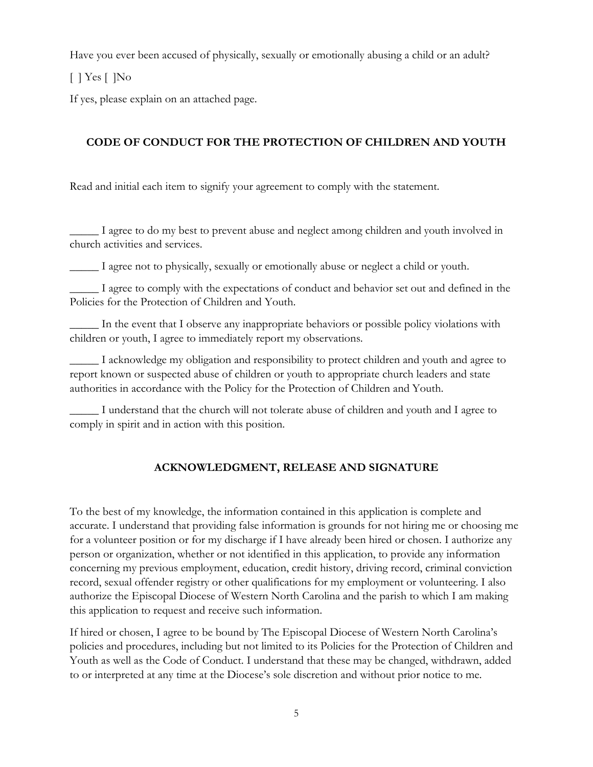Have you ever been accused of physically, sexually or emotionally abusing a child or an adult?

[ ] Yes [ ]No

If yes, please explain on an attached page.

# **CODE OF CONDUCT FOR THE PROTECTION OF CHILDREN AND YOUTH**

Read and initial each item to signify your agreement to comply with the statement.

\_\_\_\_\_ I agree to do my best to prevent abuse and neglect among children and youth involved in church activities and services.

\_\_\_\_\_ I agree not to physically, sexually or emotionally abuse or neglect a child or youth.

\_\_\_\_\_ I agree to comply with the expectations of conduct and behavior set out and defined in the Policies for the Protection of Children and Youth.

\_\_\_\_\_ In the event that I observe any inappropriate behaviors or possible policy violations with children or youth, I agree to immediately report my observations.

\_\_\_\_\_ I acknowledge my obligation and responsibility to protect children and youth and agree to report known or suspected abuse of children or youth to appropriate church leaders and state authorities in accordance with the Policy for the Protection of Children and Youth.

\_\_\_\_\_ I understand that the church will not tolerate abuse of children and youth and I agree to comply in spirit and in action with this position.

# **ACKNOWLEDGMENT, RELEASE AND SIGNATURE**

To the best of my knowledge, the information contained in this application is complete and accurate. I understand that providing false information is grounds for not hiring me or choosing me for a volunteer position or for my discharge if I have already been hired or chosen. I authorize any person or organization, whether or not identified in this application, to provide any information concerning my previous employment, education, credit history, driving record, criminal conviction record, sexual offender registry or other qualifications for my employment or volunteering. I also authorize the Episcopal Diocese of Western North Carolina and the parish to which I am making this application to request and receive such information.

If hired or chosen, I agree to be bound by The Episcopal Diocese of Western North Carolina's policies and procedures, including but not limited to its Policies for the Protection of Children and Youth as well as the Code of Conduct. I understand that these may be changed, withdrawn, added to or interpreted at any time at the Diocese's sole discretion and without prior notice to me.